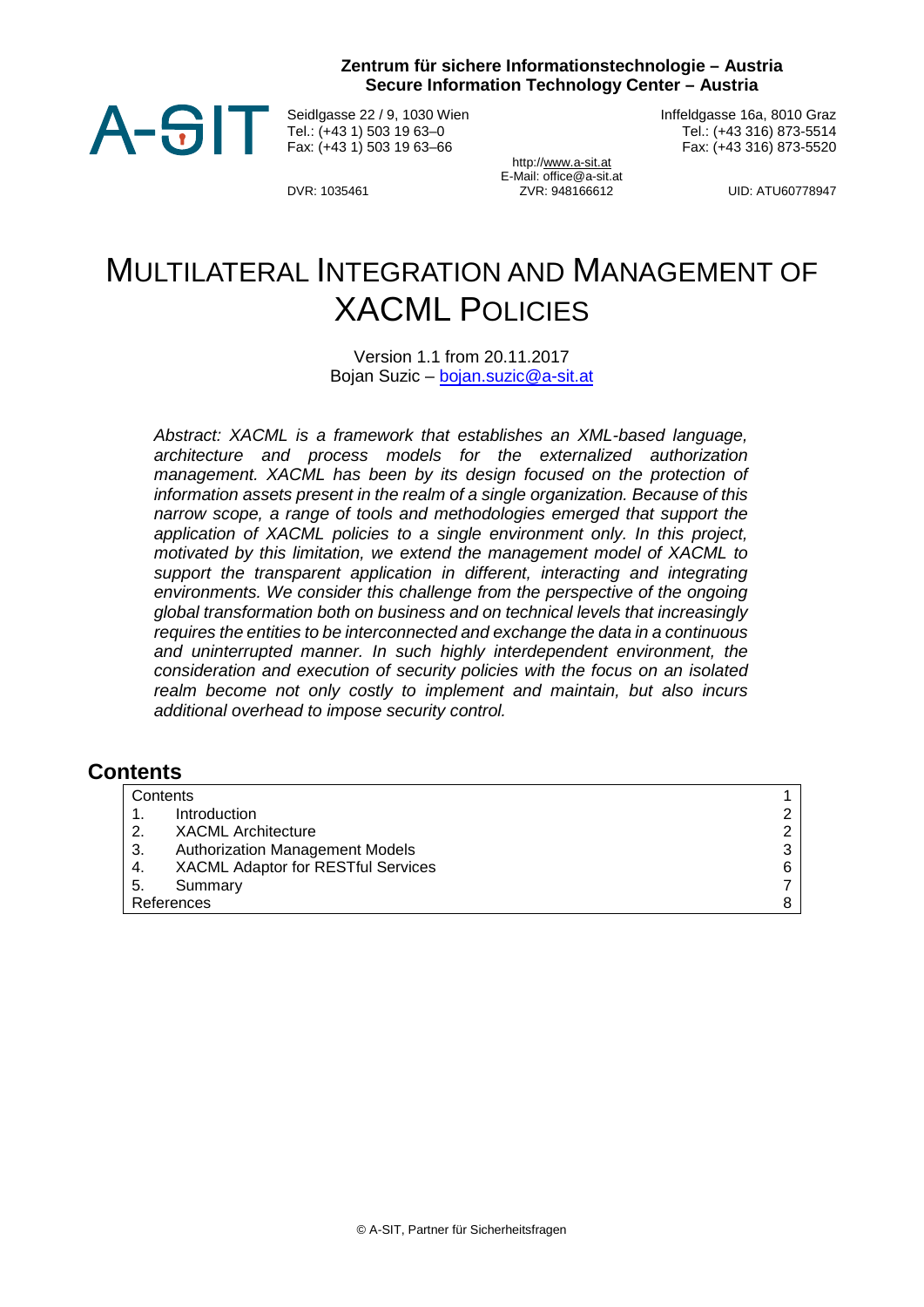**Zentrum für sichere Informationstechnologie – Austria Secure Information Technology Center – Austria**



Seidlgasse 22 / 9, 1030 Wien Tel.: (+43 1) 503 19 63–0 Fax: (+43 1) 503 19 63–66

Inffeldgasse 16a, 8010 Graz Tel.: (+43 316) 873-5514 Fax: (+43 316) 873-5520

http:[//www.a-sit.at](http://www.a-sit.at/) E-Mail: office@a-sit.at DVR: 1035461 ZVR: 948166612 UID: ATU60778947

# MULTILATERAL INTEGRATION AND MANAGEMENT OF XACML POLICIES

Version 1.1 from 20.11.2017 Bojan Suzic – [bojan.suzic@a](mailto:bojan.suzic@)-sit.at

*Abstract: XACML is a framework that establishes an XML-based language, architecture and process models for the externalized authorization management. XACML has been by its design focused on the protection of information assets present in the realm of a single organization. Because of this narrow scope, a range of tools and methodologies emerged that support the application of XACML policies to a single environment only. In this project, motivated by this limitation, we extend the management model of XACML to*  support the transparent application in different, interacting and integrating *environments. We consider this challenge from the perspective of the ongoing global transformation both on business and on technical levels that increasingly requires the entities to be interconnected and exchange the data in a continuous and uninterrupted manner. In such highly interdependent environment, the consideration and execution of security policies with the focus on an isolated realm become not only costly to implement and maintain, but also incurs additional overhead to impose security control.*

#### <span id="page-0-0"></span>**Contents**

|            | Contents |                                        |   |
|------------|----------|----------------------------------------|---|
|            |          | Introduction                           | ⌒ |
|            | 2.       | <b>XACML Architecture</b>              | ົ |
|            | 3.       | <b>Authorization Management Models</b> | 3 |
|            | -4.      | XACML Adaptor for RESTful Services     | 6 |
|            | -5.      | Summary                                |   |
| References |          |                                        |   |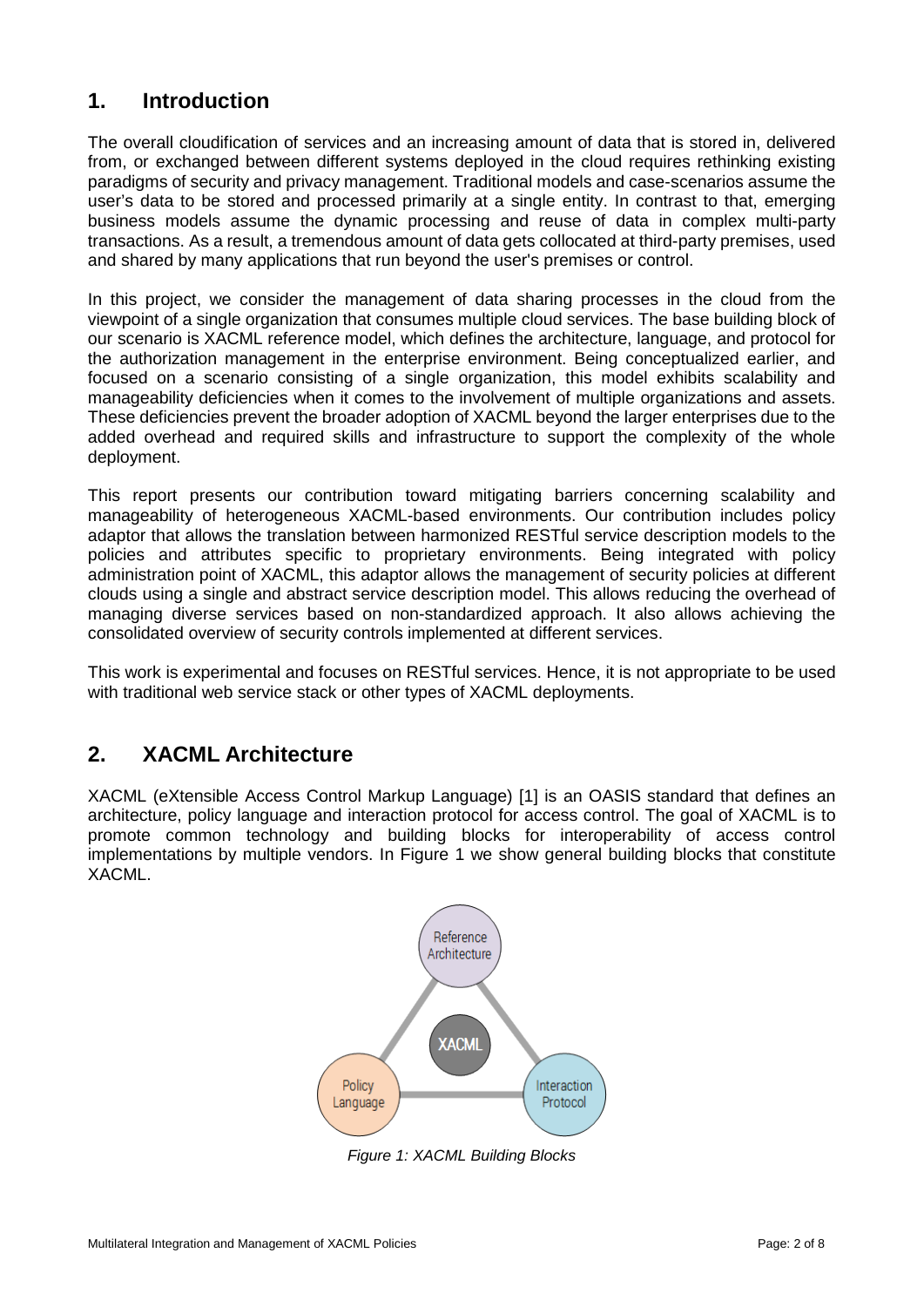### <span id="page-1-0"></span>**1. Introduction**

The overall cloudification of services and an increasing amount of data that is stored in, delivered from, or exchanged between different systems deployed in the cloud requires rethinking existing paradigms of security and privacy management. Traditional models and case-scenarios assume the user's data to be stored and processed primarily at a single entity. In contrast to that, emerging business models assume the dynamic processing and reuse of data in complex multi-party transactions. As a result, a tremendous amount of data gets collocated at third-party premises, used and shared by many applications that run beyond the user's premises or control.

In this project, we consider the management of data sharing processes in the cloud from the viewpoint of a single organization that consumes multiple cloud services. The base building block of our scenario is XACML reference model, which defines the architecture, language, and protocol for the authorization management in the enterprise environment. Being conceptualized earlier, and focused on a scenario consisting of a single organization, this model exhibits scalability and manageability deficiencies when it comes to the involvement of multiple organizations and assets. These deficiencies prevent the broader adoption of XACML beyond the larger enterprises due to the added overhead and required skills and infrastructure to support the complexity of the whole deployment.

This report presents our contribution toward mitigating barriers concerning scalability and manageability of heterogeneous XACML-based environments. Our contribution includes policy adaptor that allows the translation between harmonized RESTful service description models to the policies and attributes specific to proprietary environments. Being integrated with policy administration point of XACML, this adaptor allows the management of security policies at different clouds using a single and abstract service description model. This allows reducing the overhead of managing diverse services based on non-standardized approach. It also allows achieving the consolidated overview of security controls implemented at different services.

This work is experimental and focuses on RESTful services. Hence, it is not appropriate to be used with traditional web service stack or other types of XACML deployments.

## <span id="page-1-1"></span>**2. XACML Architecture**

XACML (eXtensible Access Control Markup Language) [1] is an OASIS standard that defines an architecture, policy language and interaction protocol for access control. The goal of XACML is to promote common technology and building blocks for interoperability of access control implementations by multiple vendors. In [Figure 1](#page-1-2) we show general building blocks that constitute XACML.



<span id="page-1-2"></span>*Figure 1: XACML Building Blocks*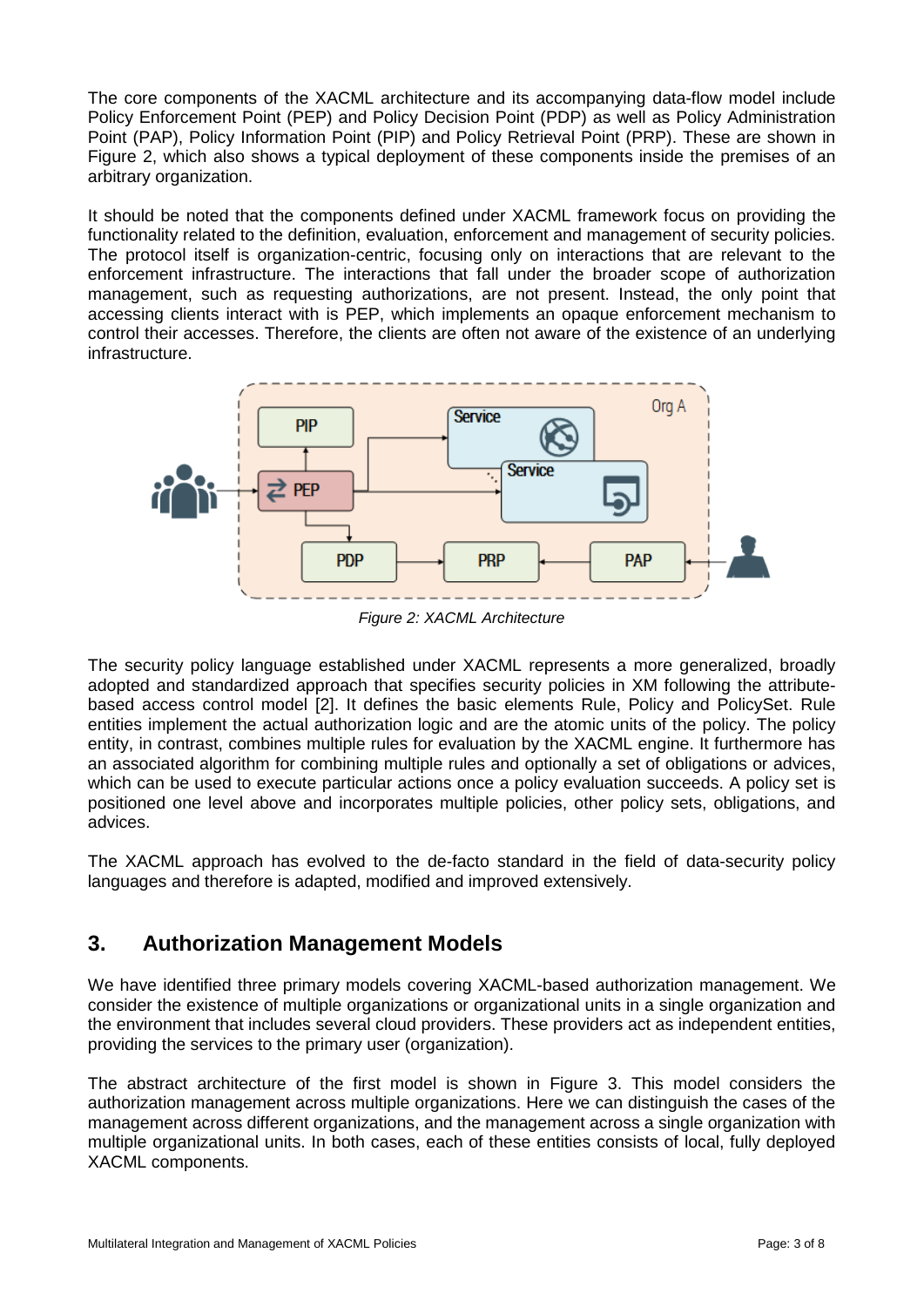The core components of the XACML architecture and its accompanying data-flow model include Policy Enforcement Point (PEP) and Policy Decision Point (PDP) as well as Policy Administration Point (PAP), Policy Information Point (PIP) and Policy Retrieval Point (PRP). These are shown in [Figure 2,](#page-2-1) which also shows a typical deployment of these components inside the premises of an arbitrary organization.

It should be noted that the components defined under XACML framework focus on providing the functionality related to the definition, evaluation, enforcement and management of security policies. The protocol itself is organization-centric, focusing only on interactions that are relevant to the enforcement infrastructure. The interactions that fall under the broader scope of authorization management, such as requesting authorizations, are not present. Instead, the only point that accessing clients interact with is PEP, which implements an opaque enforcement mechanism to control their accesses. Therefore, the clients are often not aware of the existence of an underlying infrastructure.



*Figure 2: XACML Architecture*

<span id="page-2-1"></span>The security policy language established under XACML represents a more generalized, broadly adopted and standardized approach that specifies security policies in XM following the attributebased access control model [2]. It defines the basic elements Rule, Policy and PolicySet. Rule entities implement the actual authorization logic and are the atomic units of the policy. The policy entity, in contrast, combines multiple rules for evaluation by the XACML engine. It furthermore has an associated algorithm for combining multiple rules and optionally a set of obligations or advices, which can be used to execute particular actions once a policy evaluation succeeds. A policy set is positioned one level above and incorporates multiple policies, other policy sets, obligations, and advices.

The XACML approach has evolved to the de-facto standard in the field of data-security policy languages and therefore is adapted, modified and improved extensively.

## <span id="page-2-0"></span>**3. Authorization Management Models**

We have identified three primary models covering XACML-based authorization management. We consider the existence of multiple organizations or organizational units in a single organization and the environment that includes several cloud providers. These providers act as independent entities, providing the services to the primary user (organization).

The abstract architecture of the first model is shown in [Figure 3.](#page-3-0) This model considers the authorization management across multiple organizations. Here we can distinguish the cases of the management across different organizations, and the management across a single organization with multiple organizational units. In both cases, each of these entities consists of local, fully deployed XACML components.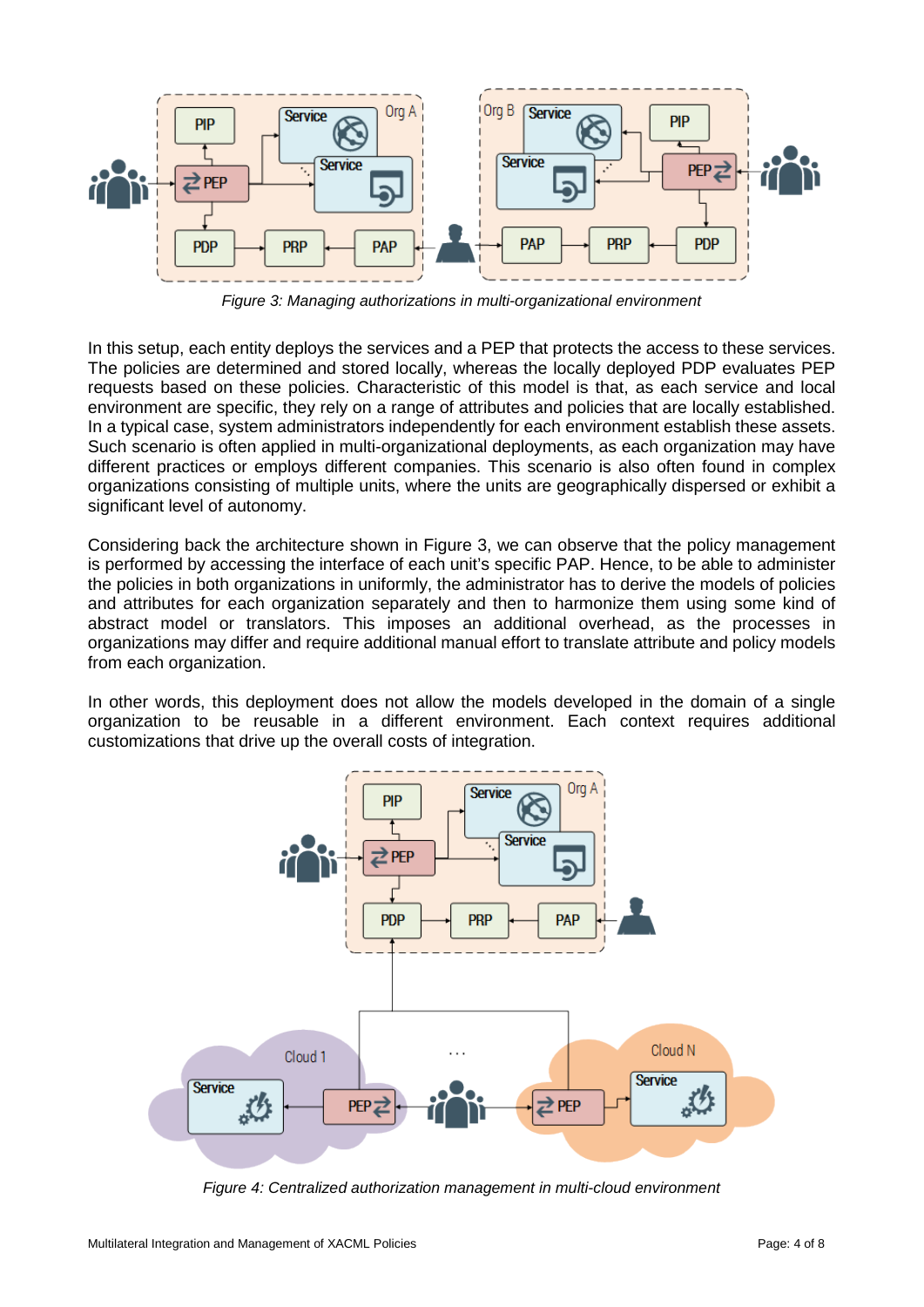

*Figure 3: Managing authorizations in multi-organizational environment*

<span id="page-3-0"></span>In this setup, each entity deploys the services and a PEP that protects the access to these services. The policies are determined and stored locally, whereas the locally deployed PDP evaluates PEP requests based on these policies. Characteristic of this model is that, as each service and local environment are specific, they rely on a range of attributes and policies that are locally established. In a typical case, system administrators independently for each environment establish these assets. Such scenario is often applied in multi-organizational deployments, as each organization may have different practices or employs different companies. This scenario is also often found in complex organizations consisting of multiple units, where the units are geographically dispersed or exhibit a significant level of autonomy.

Considering back the architecture shown in [Figure 3,](#page-3-0) we can observe that the policy management is performed by accessing the interface of each unit's specific PAP. Hence, to be able to administer the policies in both organizations in uniformly, the administrator has to derive the models of policies and attributes for each organization separately and then to harmonize them using some kind of abstract model or translators. This imposes an additional overhead, as the processes in organizations may differ and require additional manual effort to translate attribute and policy models from each organization.

In other words, this deployment does not allow the models developed in the domain of a single organization to be reusable in a different environment. Each context requires additional customizations that drive up the overall costs of integration.



<span id="page-3-1"></span>*Figure 4: Centralized authorization management in multi-cloud environment*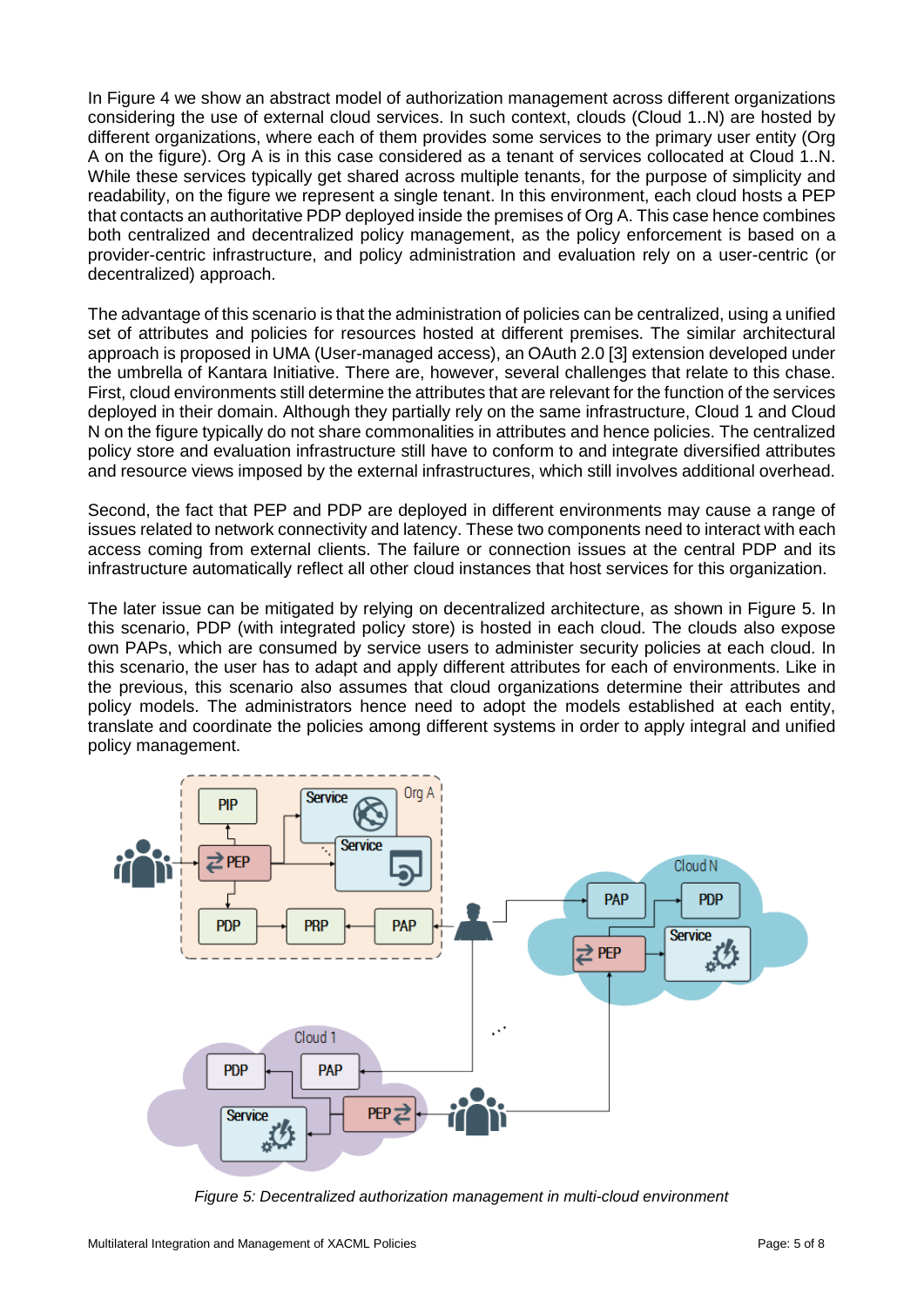In [Figure 4](#page-3-1) we show an abstract model of authorization management across different organizations considering the use of external cloud services. In such context, clouds (Cloud 1..N) are hosted by different organizations, where each of them provides some services to the primary user entity (Org A on the figure). Org A is in this case considered as a tenant of services collocated at Cloud 1..N. While these services typically get shared across multiple tenants, for the purpose of simplicity and readability, on the figure we represent a single tenant. In this environment, each cloud hosts a PEP that contacts an authoritative PDP deployed inside the premises of Org A. This case hence combines both centralized and decentralized policy management, as the policy enforcement is based on a provider-centric infrastructure, and policy administration and evaluation rely on a user-centric (or decentralized) approach.

The advantage of this scenario is that the administration of policies can be centralized, using a unified set of attributes and policies for resources hosted at different premises. The similar architectural approach is proposed in UMA (User-managed access), an OAuth 2.0 [3] extension developed under the umbrella of Kantara Initiative. There are, however, several challenges that relate to this chase. First, cloud environments still determine the attributes that are relevant for the function of the services deployed in their domain. Although they partially rely on the same infrastructure, Cloud 1 and Cloud N on the figure typically do not share commonalities in attributes and hence policies. The centralized policy store and evaluation infrastructure still have to conform to and integrate diversified attributes and resource views imposed by the external infrastructures, which still involves additional overhead.

Second, the fact that PEP and PDP are deployed in different environments may cause a range of issues related to network connectivity and latency. These two components need to interact with each access coming from external clients. The failure or connection issues at the central PDP and its infrastructure automatically reflect all other cloud instances that host services for this organization.

The later issue can be mitigated by relying on decentralized architecture, as shown in [Figure 5.](#page-4-0) In this scenario, PDP (with integrated policy store) is hosted in each cloud. The clouds also expose own PAPs, which are consumed by service users to administer security policies at each cloud. In this scenario, the user has to adapt and apply different attributes for each of environments. Like in the previous, this scenario also assumes that cloud organizations determine their attributes and policy models. The administrators hence need to adopt the models established at each entity, translate and coordinate the policies among different systems in order to apply integral and unified policy management.



<span id="page-4-0"></span>*Figure 5: Decentralized authorization management in multi-cloud environment*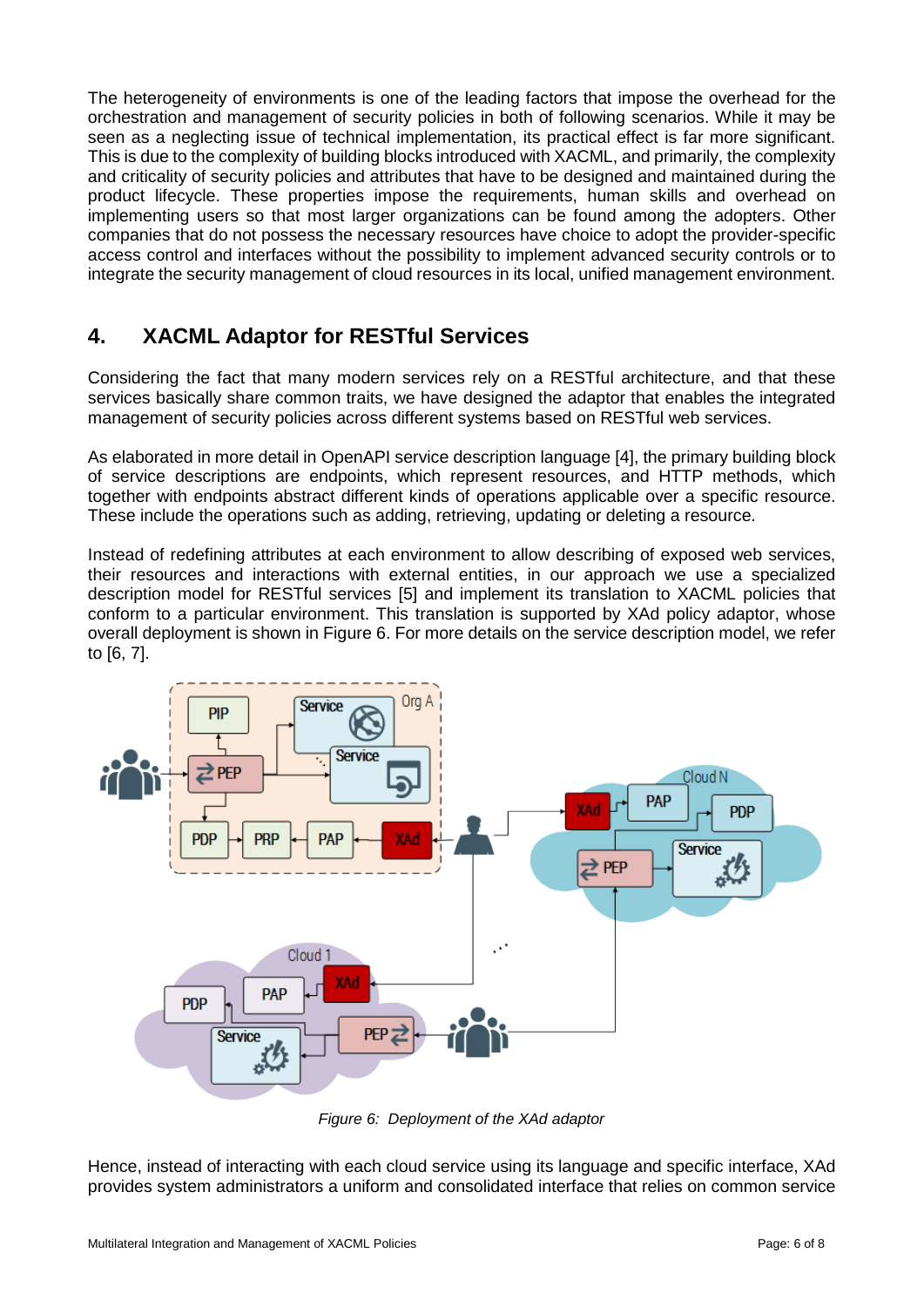The heterogeneity of environments is one of the leading factors that impose the overhead for the orchestration and management of security policies in both of following scenarios. While it may be seen as a neglecting issue of technical implementation, its practical effect is far more significant. This is due to the complexity of building blocks introduced with XACML, and primarily, the complexity and criticality of security policies and attributes that have to be designed and maintained during the product lifecycle. These properties impose the requirements, human skills and overhead on implementing users so that most larger organizations can be found among the adopters. Other companies that do not possess the necessary resources have choice to adopt the provider-specific access control and interfaces without the possibility to implement advanced security controls or to integrate the security management of cloud resources in its local, unified management environment.

## <span id="page-5-0"></span>**4. XACML Adaptor for RESTful Services**

Considering the fact that many modern services rely on a RESTful architecture, and that these services basically share common traits, we have designed the adaptor that enables the integrated management of security policies across different systems based on RESTful web services.

As elaborated in more detail in OpenAPI service description language [4], the primary building block of service descriptions are endpoints, which represent resources, and HTTP methods, which together with endpoints abstract different kinds of operations applicable over a specific resource. These include the operations such as adding, retrieving, updating or deleting a resource.

Instead of redefining attributes at each environment to allow describing of exposed web services, their resources and interactions with external entities, in our approach we use a specialized description model for RESTful services [5] and implement its translation to XACML policies that conform to a particular environment. This translation is supported by XAd policy adaptor, whose overall deployment is shown in [Figure 6.](#page-5-1) For more details on the service description model, we refer to [6, 7].



*Figure 6: Deployment of the XAd adaptor*

<span id="page-5-1"></span>Hence, instead of interacting with each cloud service using its language and specific interface, XAd provides system administrators a uniform and consolidated interface that relies on common service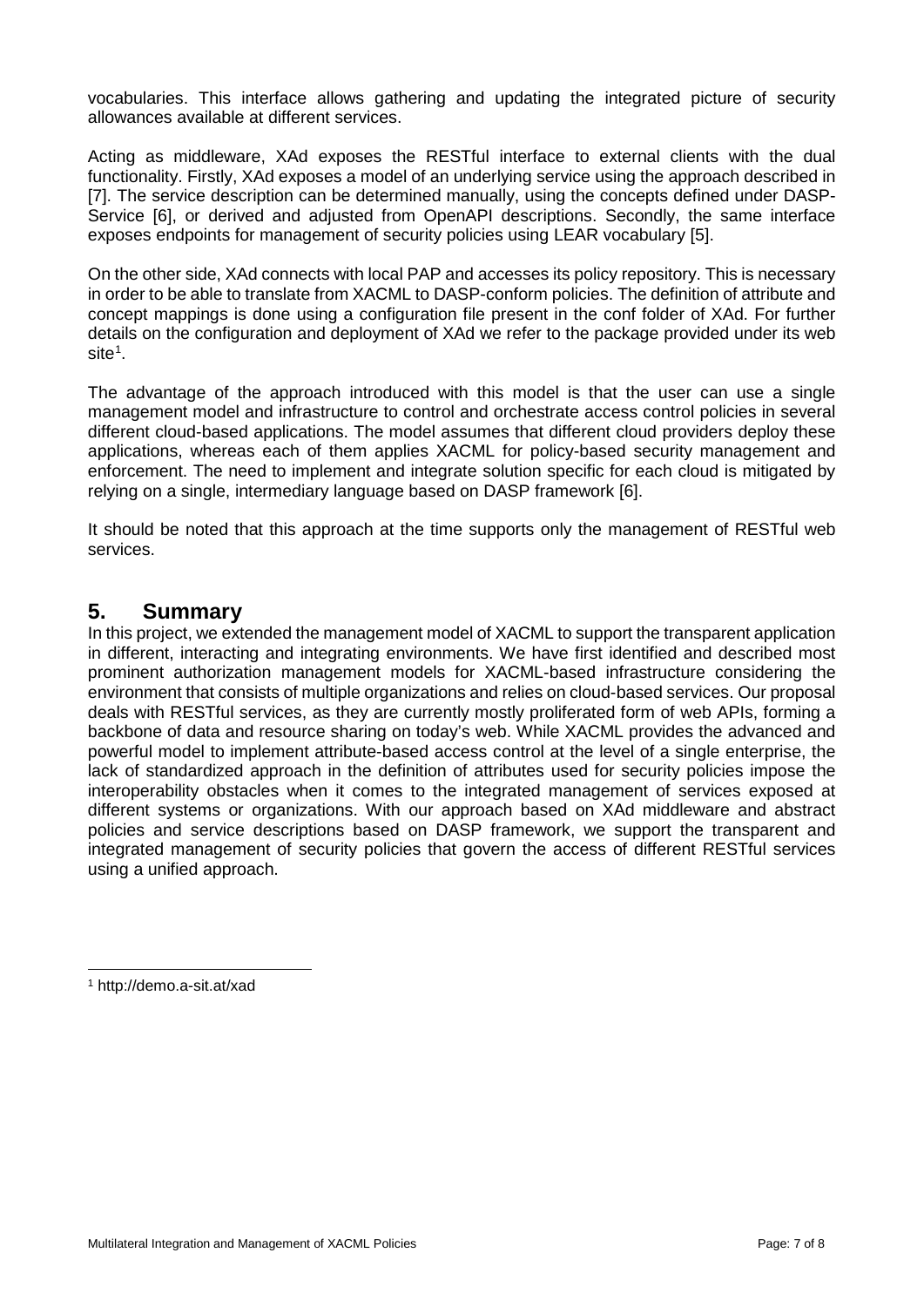vocabularies. This interface allows gathering and updating the integrated picture of security allowances available at different services.

Acting as middleware, XAd exposes the RESTful interface to external clients with the dual functionality. Firstly, XAd exposes a model of an underlying service using the approach described in [7]. The service description can be determined manually, using the concepts defined under DASP-Service [6], or derived and adjusted from OpenAPI descriptions. Secondly, the same interface exposes endpoints for management of security policies using LEAR vocabulary [5].

On the other side, XAd connects with local PAP and accesses its policy repository. This is necessary in order to be able to translate from XACML to DASP-conform policies. The definition of attribute and concept mappings is done using a configuration file present in the conf folder of XAd. For further details on the configuration and deployment of XAd we refer to the package provided under its web  $\mathsf{site}^1$  $\mathsf{site}^1$ .

The advantage of the approach introduced with this model is that the user can use a single management model and infrastructure to control and orchestrate access control policies in several different cloud-based applications. The model assumes that different cloud providers deploy these applications, whereas each of them applies XACML for policy-based security management and enforcement. The need to implement and integrate solution specific for each cloud is mitigated by relying on a single, intermediary language based on DASP framework [6].

It should be noted that this approach at the time supports only the management of RESTful web services.

#### <span id="page-6-0"></span>**5. Summary**

In this project, we extended the management model of XACML to support the transparent application in different, interacting and integrating environments. We have first identified and described most prominent authorization management models for XACML-based infrastructure considering the environment that consists of multiple organizations and relies on cloud-based services. Our proposal deals with RESTful services, as they are currently mostly proliferated form of web APIs, forming a backbone of data and resource sharing on today's web. While XACML provides the advanced and powerful model to implement attribute-based access control at the level of a single enterprise, the lack of standardized approach in the definition of attributes used for security policies impose the interoperability obstacles when it comes to the integrated management of services exposed at different systems or organizations. With our approach based on XAd middleware and abstract policies and service descriptions based on DASP framework, we support the transparent and integrated management of security policies that govern the access of different RESTful services using a unified approach.

<span id="page-6-1"></span> <sup>1</sup> http://demo.a-sit.at/xad